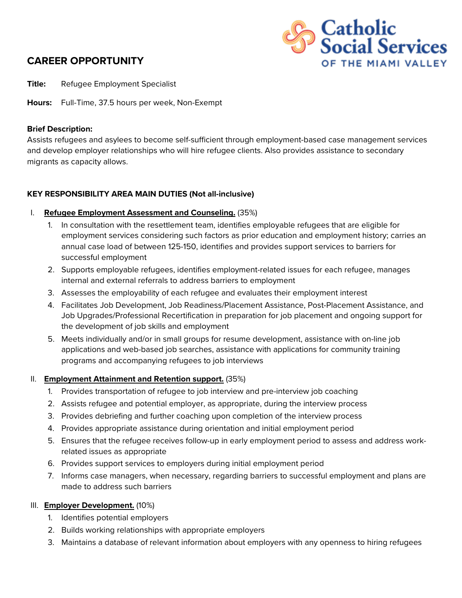# **CAREER OPPORTUNITY**



**Title:** Refugee Employment Specialist

**Hours:** Full-Time, 37.5 hours per week, Non-Exempt

#### **Brief Description:**

Assists refugees and asylees to become self-sufficient through employment-based case management services and develop employer relationships who will hire refugee clients. Also provides assistance to secondary migrants as capacity allows.

#### **KEY RESPONSIBILITY AREA MAIN DUTIES (Not all-inclusive)**

- I. **Refugee Employment Assessment and Counseling.** (35%)
	- 1. In consultation with the resettlement team, identifies employable refugees that are eligible for employment services considering such factors as prior education and employment history; carries an annual case load of between 125-150, identifies and provides support services to barriers for successful employment
	- 2. Supports employable refugees, identifies employment-related issues for each refugee, manages internal and external referrals to address barriers to employment
	- 3. Assesses the employability of each refugee and evaluates their employment interest
	- 4. Facilitates Job Development, Job Readiness/Placement Assistance, Post-Placement Assistance, and Job Upgrades/Professional Recertification in preparation for job placement and ongoing support for the development of job skills and employment
	- 5. Meets individually and/or in small groups for resume development, assistance with on-line job applications and web-based job searches, assistance with applications for community training programs and accompanying refugees to job interviews

#### II. **Employment Attainment and Retention support.** (35%)

- 1. Provides transportation of refugee to job interview and pre-interview job coaching
- 2. Assists refugee and potential employer, as appropriate, during the interview process
- 3. Provides debriefing and further coaching upon completion of the interview process
- 4. Provides appropriate assistance during orientation and initial employment period
- 5. Ensures that the refugee receives follow-up in early employment period to assess and address workrelated issues as appropriate
- 6. Provides support services to employers during initial employment period
- 7. Informs case managers, when necessary, regarding barriers to successful employment and plans are made to address such barriers

#### III. **Employer Development.** (10%)

- 1. Identifies potential employers
- 2. Builds working relationships with appropriate employers
- 3. Maintains a database of relevant information about employers with any openness to hiring refugees